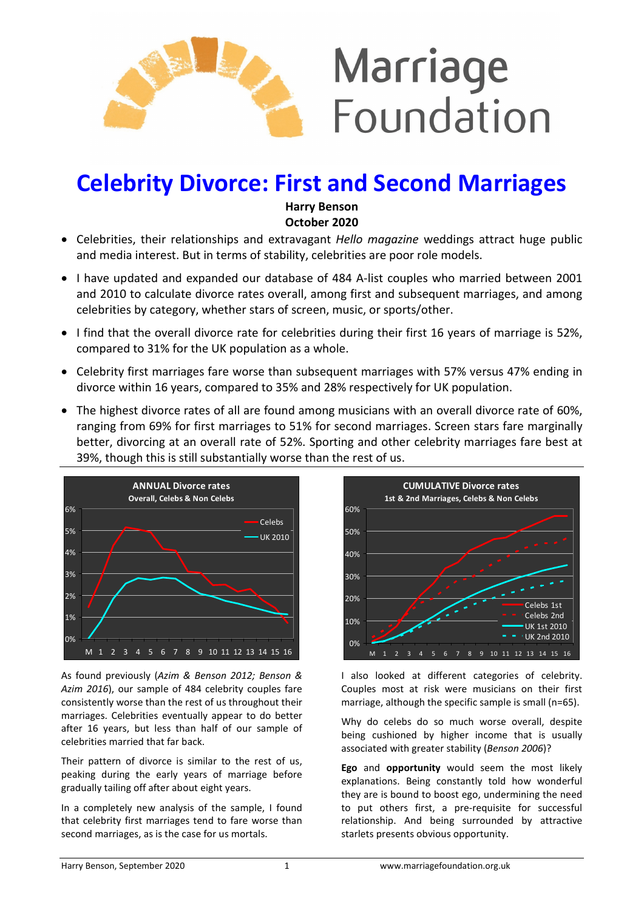

# Celebrity Divorce: First and Second Marriages

Harry Benson October 2020

- Celebrities, their relationships and extravagant *Hello magazine* weddings attract huge public and media interest. But in terms of stability, celebrities are poor role models.
- I have updated and expanded our database of 484 A-list couples who married between 2001 and 2010 to calculate divorce rates overall, among first and subsequent marriages, and among celebrities by category, whether stars of screen, music, or sports/other.
- I find that the overall divorce rate for celebrities during their first 16 years of marriage is 52%, compared to 31% for the UK population as a whole.
- Celebrity first marriages fare worse than subsequent marriages with 57% versus 47% ending in divorce within 16 years, compared to 35% and 28% respectively for UK population.
- The highest divorce rates of all are found among musicians with an overall divorce rate of 60%, ranging from 69% for first marriages to 51% for second marriages. Screen stars fare marginally better, divorcing at an overall rate of 52%. Sporting and other celebrity marriages fare best at 39%, though this is still substantially worse than the rest of us.



As found previously (Azim & Benson 2012; Benson & Azim 2016), our sample of 484 celebrity couples fare consistently worse than the rest of us throughout their marriages. Celebrities eventually appear to do better after 16 years, but less than half of our sample of celebrities married that far back.

Their pattern of divorce is similar to the rest of us, peaking during the early years of marriage before gradually tailing off after about eight years.

In a completely new analysis of the sample, I found that celebrity first marriages tend to fare worse than second marriages, as is the case for us mortals.



I also looked at different categories of celebrity. Couples most at risk were musicians on their first marriage, although the specific sample is small (n=65).

Why do celebs do so much worse overall, despite being cushioned by higher income that is usually associated with greater stability (Benson 2006)?

Ego and opportunity would seem the most likely explanations. Being constantly told how wonderful they are is bound to boost ego, undermining the need to put others first, a pre-requisite for successful relationship. And being surrounded by attractive starlets presents obvious opportunity.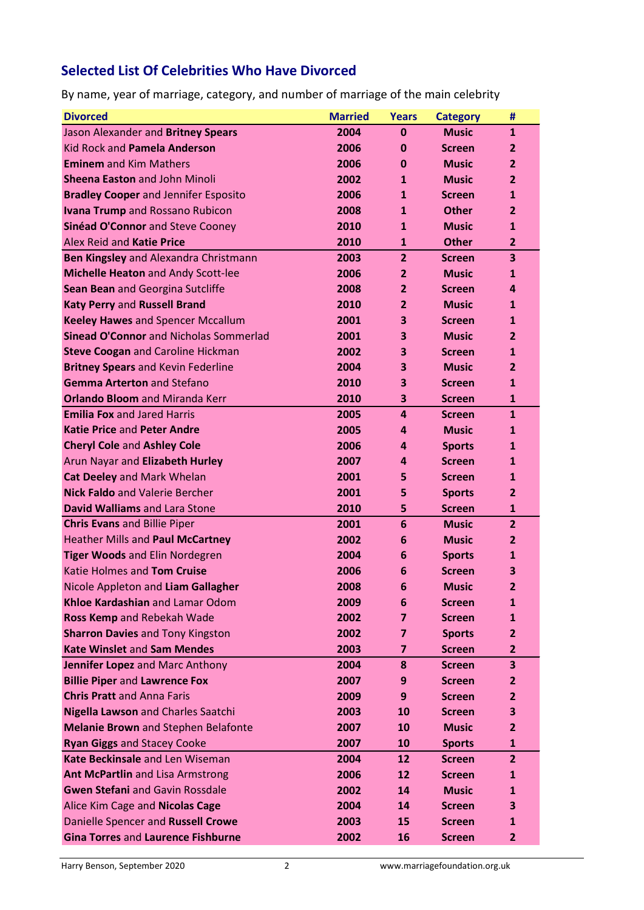## Selected List Of Celebrities Who Have Divorced

By name, year of marriage, category, and number of marriage of the main celebrity

| <b>Divorced</b>                               | <b>Married</b> | <b>Years</b>   | <b>Category</b> | #              |
|-----------------------------------------------|----------------|----------------|-----------------|----------------|
| Jason Alexander and Britney Spears            | 2004           | $\mathbf{0}$   | <b>Music</b>    | 1              |
| Kid Rock and Pamela Anderson                  | 2006           | 0              | <b>Screen</b>   | 2              |
| <b>Eminem</b> and Kim Mathers                 | 2006           | 0              | <b>Music</b>    | 2              |
| <b>Sheena Easton and John Minoli</b>          | 2002           | $\mathbf{1}$   | <b>Music</b>    | 2              |
| <b>Bradley Cooper and Jennifer Esposito</b>   | 2006           | $\mathbf{1}$   | <b>Screen</b>   | $\mathbf{1}$   |
| <b>Ivana Trump</b> and Rossano Rubicon        | 2008           | $\mathbf{1}$   | <b>Other</b>    | 2              |
| Sinéad O'Connor and Steve Cooney              | 2010           | $\mathbf{1}$   | <b>Music</b>    | 1              |
| Alex Reid and Katie Price                     | 2010           | $\mathbf{1}$   | <b>Other</b>    | 2              |
| Ben Kingsley and Alexandra Christmann         | 2003           | $\overline{2}$ | <b>Screen</b>   | 3              |
| Michelle Heaton and Andy Scott-lee            | 2006           | 2              | <b>Music</b>    | 1              |
| Sean Bean and Georgina Sutcliffe              | 2008           | 2              | <b>Screen</b>   | 4              |
| Katy Perry and Russell Brand                  | 2010           | 2              | <b>Music</b>    | $\mathbf{1}$   |
| <b>Keeley Hawes and Spencer Mccallum</b>      | 2001           | 3              | <b>Screen</b>   | $\mathbf{1}$   |
| <b>Sinead O'Connor and Nicholas Sommerlad</b> | 2001           | 3              | <b>Music</b>    | 2              |
| <b>Steve Coogan and Caroline Hickman</b>      | 2002           | 3              | <b>Screen</b>   | $\mathbf{1}$   |
| <b>Britney Spears and Kevin Federline</b>     | 2004           | 3              | <b>Music</b>    | $\mathbf{2}$   |
| <b>Gemma Arterton and Stefano</b>             | 2010           | 3              | <b>Screen</b>   | $\mathbf{1}$   |
| <b>Orlando Bloom and Miranda Kerr</b>         | 2010           | 3              | <b>Screen</b>   | 1              |
| <b>Emilia Fox and Jared Harris</b>            | 2005           | 4              | <b>Screen</b>   | $\mathbf{1}$   |
| <b>Katie Price and Peter Andre</b>            | 2005           | 4              | <b>Music</b>    | 1              |
| <b>Cheryl Cole and Ashley Cole</b>            | 2006           | 4              | <b>Sports</b>   | 1              |
| Arun Nayar and Elizabeth Hurley               | 2007           | 4              | <b>Screen</b>   | $\mathbf{1}$   |
| <b>Cat Deeley and Mark Whelan</b>             | 2001           | 5              | <b>Screen</b>   | $\mathbf{1}$   |
| <b>Nick Faldo and Valerie Bercher</b>         | 2001           | 5              | <b>Sports</b>   | 2              |
| David Walliams and Lara Stone                 | 2010           | 5              | <b>Screen</b>   | $\mathbf{1}$   |
| <b>Chris Evans and Billie Piper</b>           | 2001           | 6              | <b>Music</b>    | $\mathbf{2}$   |
| Heather Mills and Paul McCartney              | 2002           | 6              | <b>Music</b>    | 2              |
| Tiger Woods and Elin Nordegren                | 2004           | 6              | <b>Sports</b>   | 1              |
| Katie Holmes and Tom Cruise                   | 2006           | 6              | <b>Screen</b>   | 3              |
| Nicole Appleton and Liam Gallagher            | 2008           | 6              | <b>Music</b>    | 2              |
| Khloe Kardashian and Lamar Odom               | 2009           | 6              | <b>Screen</b>   | 1              |
| Ross Kemp and Rebekah Wade                    | 2002           | 7              | <b>Screen</b>   | 1              |
| <b>Sharron Davies and Tony Kingston</b>       | 2002           | 7              | <b>Sports</b>   | 2              |
| <b>Kate Winslet and Sam Mendes</b>            | 2003           | 7              | <b>Screen</b>   | 2              |
| Jennifer Lopez and Marc Anthony               | 2004           | 8              | <b>Screen</b>   | 3              |
| <b>Billie Piper and Lawrence Fox</b>          | 2007           | 9              | <b>Screen</b>   | 2              |
| <b>Chris Pratt</b> and Anna Faris             | 2009           | 9              | <b>Screen</b>   | 2              |
| Nigella Lawson and Charles Saatchi            | 2003           | 10             | <b>Screen</b>   | 3              |
| <b>Melanie Brown</b> and Stephen Belafonte    | 2007           | 10             | <b>Music</b>    | 2              |
| <b>Ryan Giggs and Stacey Cooke</b>            | 2007           | 10             | <b>Sports</b>   | 1              |
| Kate Beckinsale and Len Wiseman               | 2004           | 12             | <b>Screen</b>   | $\overline{2}$ |
| Ant McPartlin and Lisa Armstrong              | 2006           | 12             | <b>Screen</b>   | 1              |
| <b>Gwen Stefani</b> and Gavin Rossdale        | 2002           | 14             | <b>Music</b>    | 1              |
| Alice Kim Cage and Nicolas Cage               | 2004           | 14             | <b>Screen</b>   | 3              |
| Danielle Spencer and Russell Crowe            | 2003           | 15             | <b>Screen</b>   | 1              |
| Gina Torres and Laurence Fishburne            | 2002           | 16             | <b>Screen</b>   | $\mathbf{2}$   |
|                                               |                |                |                 |                |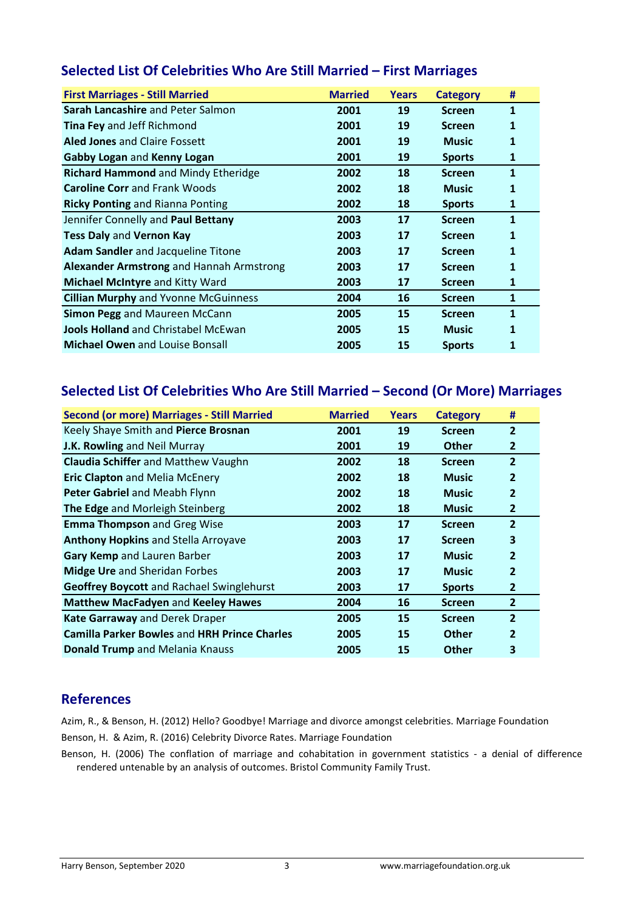| <b>First Marriages - Still Married</b>      | <b>Married</b> | <b>Years</b> | <b>Category</b> | #            |
|---------------------------------------------|----------------|--------------|-----------------|--------------|
| Sarah Lancashire and Peter Salmon           | 2001           | 19           | <b>Screen</b>   | 1            |
| <b>Tina Fey and Jeff Richmond</b>           | 2001           | 19           | <b>Screen</b>   | $\mathbf{1}$ |
| <b>Aled Jones and Claire Fossett</b>        | 2001           | 19           | <b>Music</b>    | 1            |
| Gabby Logan and Kenny Logan                 | 2001           | 19           | <b>Sports</b>   | 1            |
| Richard Hammond and Mindy Etheridge         | 2002           | 18           | <b>Screen</b>   | 1            |
| <b>Caroline Corr</b> and Frank Woods        | 2002           | 18           | <b>Music</b>    | 1            |
| <b>Ricky Ponting and Rianna Ponting</b>     | 2002           | 18           | <b>Sports</b>   | 1            |
| Jennifer Connelly and Paul Bettany          | 2003           | 17           | <b>Screen</b>   | 1            |
| <b>Tess Daly and Vernon Kay</b>             | 2003           | 17           | <b>Screen</b>   | 1            |
| <b>Adam Sandler</b> and Jacqueline Titone   | 2003           | 17           | <b>Screen</b>   | 1            |
| Alexander Armstrong and Hannah Armstrong    | 2003           | 17           | <b>Screen</b>   | 1            |
| <b>Michael McIntyre and Kitty Ward</b>      | 2003           | 17           | <b>Screen</b>   | 1            |
| <b>Cillian Murphy and Yvonne McGuinness</b> | 2004           | 16           | <b>Screen</b>   | 1            |
| <b>Simon Pegg and Maureen McCann</b>        | 2005           | 15           | <b>Screen</b>   | 1            |
| <b>Jools Holland</b> and Christabel McEwan  | 2005           | 15           | <b>Music</b>    | $\mathbf{1}$ |
| <b>Michael Owen and Louise Bonsall</b>      | 2005           | 15           | <b>Sports</b>   | 1            |

#### Selected List Of Celebrities Who Are Still Married – First Marriages

## Selected List Of Celebrities Who Are Still Married – Second (Or More) Marriages

| <b>Second (or more) Marriages - Still Married</b>   | <b>Married</b> | <b>Years</b> | <b>Category</b> | #              |
|-----------------------------------------------------|----------------|--------------|-----------------|----------------|
| Keely Shaye Smith and Pierce Brosnan                | 2001           | 19           | <b>Screen</b>   | $\overline{2}$ |
| J.K. Rowling and Neil Murray                        | 2001           | 19           | <b>Other</b>    | 2              |
| <b>Claudia Schiffer and Matthew Vaughn</b>          | 2002           | 18           | <b>Screen</b>   | $\overline{2}$ |
| <b>Eric Clapton and Melia McEnery</b>               | 2002           | 18           | <b>Music</b>    | $\overline{2}$ |
| Peter Gabriel and Meabh Flynn                       | 2002           | 18           | <b>Music</b>    | $\overline{2}$ |
| The Edge and Morleigh Steinberg                     | 2002           | 18           | <b>Music</b>    | $\mathbf{2}$   |
| <b>Emma Thompson and Greg Wise</b>                  | 2003           | 17           | <b>Screen</b>   | $\overline{2}$ |
| <b>Anthony Hopkins and Stella Arroyave</b>          | 2003           | 17           | <b>Screen</b>   | 3              |
| Gary Kemp and Lauren Barber                         | 2003           | 17           | <b>Music</b>    | $\overline{2}$ |
| <b>Midge Ure and Sheridan Forbes</b>                | 2003           | 17           | <b>Music</b>    | $\overline{2}$ |
| <b>Geoffrey Boycott and Rachael Swinglehurst</b>    | 2003           | 17           | <b>Sports</b>   | $\overline{2}$ |
| <b>Matthew MacFadyen and Keeley Hawes</b>           | 2004           | 16           | <b>Screen</b>   | $\mathbf{2}$   |
| Kate Garraway and Derek Draper                      | 2005           | <b>15</b>    | <b>Screen</b>   | $\overline{2}$ |
| <b>Camilla Parker Bowles and HRH Prince Charles</b> | 2005           | 15           | <b>Other</b>    | $\overline{2}$ |
| Donald Trump and Melania Knauss                     | 2005           | 15           | <b>Other</b>    | 3              |

#### References

Azim, R., & Benson, H. (2012) Hello? Goodbye! Marriage and divorce amongst celebrities. Marriage Foundation

Benson, H. & Azim, R. (2016) Celebrity Divorce Rates. Marriage Foundation

Benson, H. (2006) The conflation of marriage and cohabitation in government statistics - a denial of difference rendered untenable by an analysis of outcomes. Bristol Community Family Trust.